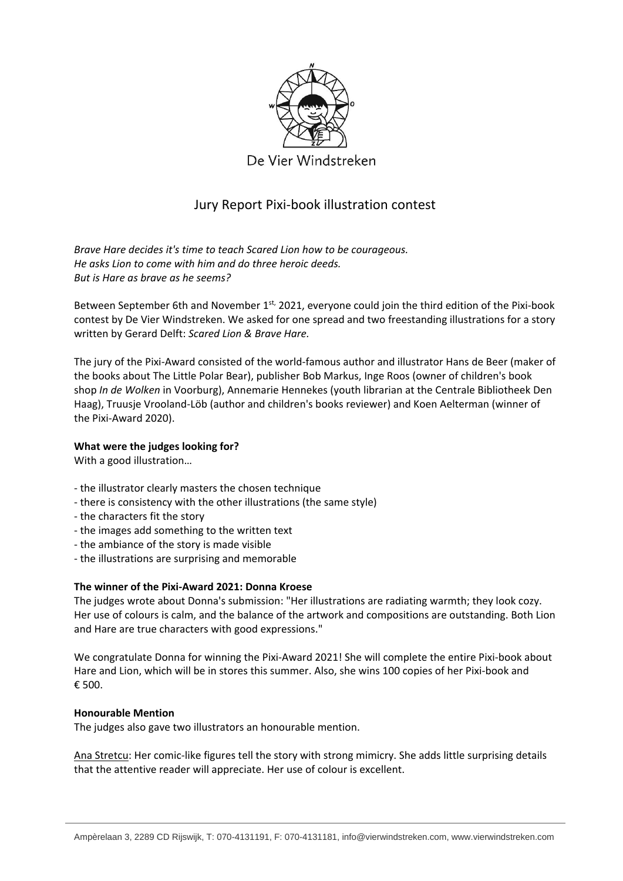

# Jury Report Pixi-book illustration contest

*Brave Hare decides it's time to teach Scared Lion how to be courageous. He asks Lion to come with him and do three heroic deeds. But is Hare as brave as he seems?*

Between September 6th and November 1<sup>st,</sup> 2021, everyone could join the third edition of the Pixi-book contest by De Vier Windstreken. We asked for one spread and two freestanding illustrations for a story written by Gerard Delft: *Scared Lion & Brave Hare.*

The jury of the Pixi-Award consisted of the world-famous author and illustrator Hans de Beer (maker of the books about The Little Polar Bear), publisher Bob Markus, Inge Roos (owner of children's book shop *In de Wolken* in Voorburg), Annemarie Hennekes (youth librarian at the Centrale Bibliotheek Den Haag), Truusje Vrooland-Löb (author and children's books reviewer) and Koen Aelterman (winner of the Pixi-Award 2020).

## **What were the judges looking for?**

With a good illustration…

- the illustrator clearly masters the chosen technique
- there is consistency with the other illustrations (the same style)
- the characters fit the story
- the images add something to the written text
- the ambiance of the story is made visible
- the illustrations are surprising and memorable

### **The winner of the Pixi-Award 2021: Donna Kroese**

The judges wrote about Donna's submission: "Her illustrations are radiating warmth; they look cozy. Her use of colours is calm, and the balance of the artwork and compositions are outstanding. Both Lion and Hare are true characters with good expressions."

We congratulate Donna for winning the Pixi-Award 2021! She will complete the entire Pixi-book about Hare and Lion, which will be in stores this summer. Also, she wins 100 copies of her Pixi-book and € 500.

### **Honourable Mention**

The judges also gave two illustrators an honourable mention.

Ana Stretcu: Her comic-like figures tell the story with strong mimicry. She adds little surprising details that the attentive reader will appreciate. Her use of colour is excellent.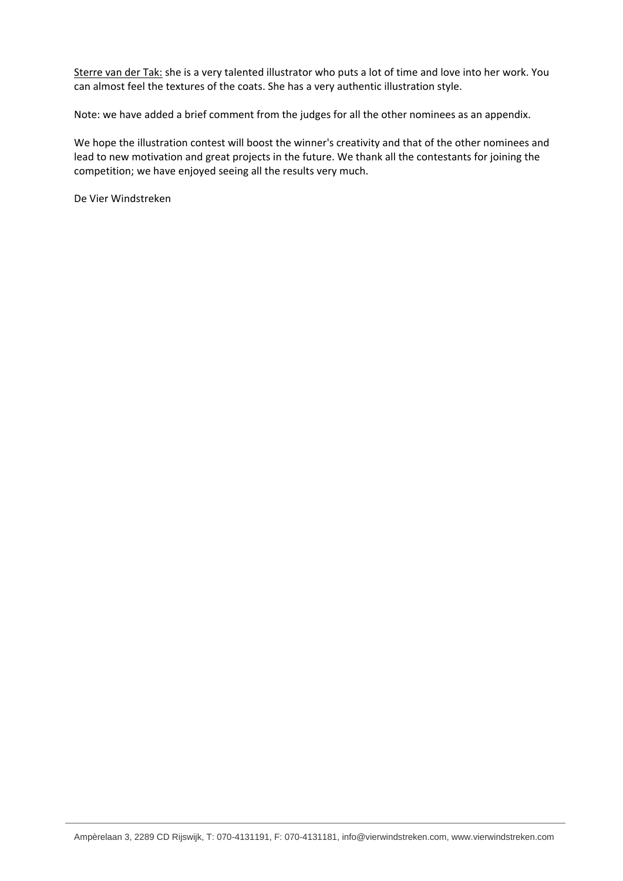Sterre van der Tak: she is a very talented illustrator who puts a lot of time and love into her work. You can almost feel the textures of the coats. She has a very authentic illustration style.

Note: we have added a brief comment from the judges for all the other nominees as an appendix.

We hope the illustration contest will boost the winner's creativity and that of the other nominees and lead to new motivation and great projects in the future. We thank all the contestants for joining the competition; we have enjoyed seeing all the results very much.

De Vier Windstreken